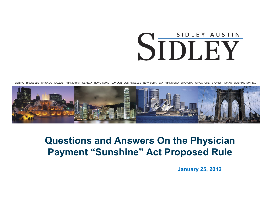# SIDLEY AUSTIN SIDLEY

BEIJING BRUSSELS CHICAGO DALLAS FRANKFURT GENEVA HONG KONG LONDON LOS ANGELES NEW YORK SAN FRANCISCO SHANGHAI SINGAPORE SYDNEY TOKYO WASHINGTON, D.C.



### **Questions and Answers On the Physician Payment "Sunshine" Act Proposed Rule**

**January 25, 2012**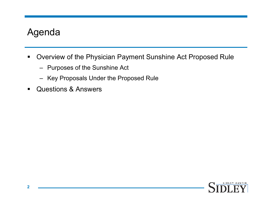# Agenda

- $\blacksquare$  Overview of the Physician Payment Sunshine Act Proposed Rule
	- Purposes of the Sunshine Act
	- Key Proposals Under the Proposed Rule
- $\blacksquare$ Questions & Answers

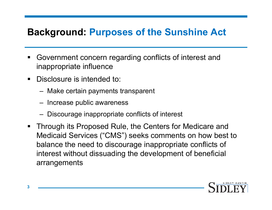# **Background: Purposes of the Sunshine Act**

- ٠ Government concern regarding conflicts of interest and inappropriate influence
- $\blacksquare$ Disclosure is intended to:
	- Make certain payments transparent
	- Increase public awareness
	- Discourage inappropriate conflicts of interest
- $\blacksquare$  Through its Proposed Rule, the Centers for Medicare and Medicaid Services ("CMS") seeks comments on how best to balance the need to discourage inappropriate conflicts of interest without dissuading the development of beneficial arrangements

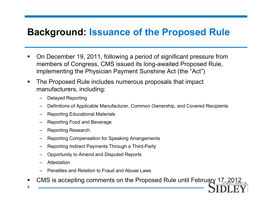# **Background: Issuance of the Proposed Rule**

- $\blacksquare$  On December 19, 2011, following a period of significant pressure from members of Congress, CMS issued its long-awaited Proposed Rule, implementing the Physician Payment Sunshine Act (the "Act")
- $\blacksquare$  The Proposed Rule includes numerous proposals that impact manufacturers, including:
	- –Delayed Reporting
	- Definitions of Applicable Manufacturer, Common Ownership, and Covered Recipients
	- –Reporting Educational Materials
	- Reporting Food and Beverage
	- Reporting Research
	- –Reporting Compensation for Speaking Arrangements
	- Reporting Indirect Payments Through a Third-Party
	- Opportunity to Amend and Disputed Reports
	- –Attestation
	- Penalties and Relation to Fraud and Abuse Laws
- CMS is accepting comments on the Proposed Rule until February 17,  $2012$ <sub>rin</sub>
- **4**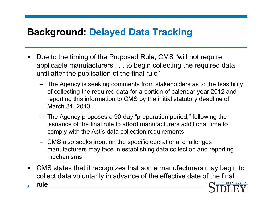# **Background: Delayed Data Tracking**

- Due to the timing of the Proposed Rule, CMS "will not require applicable manufacturers . . . to begin collecting the required data until after the publication of the final rule"
	- The Agency is seeking comments from stakeholders as to the feasibility of collecting the required data for <sup>a</sup> portion of calendar year 2012 and reporting this information to CMS by the initial statutory deadline of March 31, 2013
	- The Agency proposes a 90-day "preparation period," following the issuance of the final rule to afford manufacturers additional time to comply with the Act's data collection requirements
	- $-$  CMS also seeks input on the specific operational challenges manufacturers may face in establishing data collection and reporting mechanisms
- $\blacksquare$ CMS states that it recognizes that some manufacturers may begin to collect data voluntarily in advance of the effective date of the final

**5**

rule

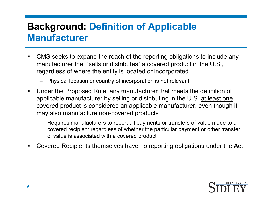# **Background: Definition of Applicable Manufacturer**

- $\blacksquare$  CMS seeks to expand the reach of the reporting obligations to include any manufacturer that "sells or distributes" a covered product in the U.S., regardless of where the entity is located or incorporated
	- Physical location or country of incorporation is not relevant
- $\blacksquare$ Under the Proposed Rule, any manufacturer that meets the definition of applicable manufacturer by selling or distributing in the U.S. at least one covered product is considered an applicable manufacturer, even though it may also manufacture non-covered products
	- Requires manufacturers to report all payments or transfers of value made to a covered recipient regardless of whether the particular payment or other transfer of value is associated with a covered product
- • Covered Recipients themselves have no reporting obligations under the Act

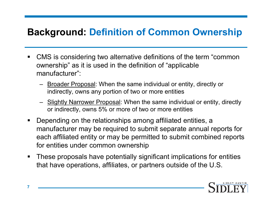# **Background: Definition of Common Ownership**

- $\blacksquare$  CMS is considering two alternative definitions of the term "common ownership" as it is used in the definition of "applicable" manufacturer":
	- Broader Proposal: When the same individual or entity, directly or indirectly, owns any portion of two or more entities
	- Slightly Narrower Proposal: When the same individual or entity, directly or indirectly, owns 5% or more of two or more entities
- $\blacksquare$ Depending on the relationships among affiliated entities, a manufacturer may be required to submit separate annual reports for each affiliated entity or may be permitted to submit combined reports for entities under common ownership
- $\blacksquare$  These proposals have potentially significant implications for entities that have operations, affiliates, or partners outside of the U.S.

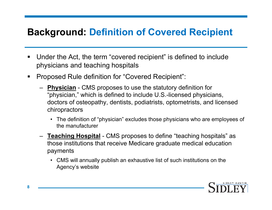# **Background: Definition of Covered Recipient**

- $\blacksquare$  Under the Act, the term "covered recipient" is defined to include physicians and teaching hospitals
- $\blacksquare$  Proposed Rule definition for "Covered Recipient":
	- **Physician** CMS proposes to use the statutory definition for "physician," which is defined to include U.S.-licensed physicians, doctors of osteopathy, dentists, podiatrists, optometrists, and licensed chiropractors
		- The definition of "physician" excludes those physicians who are employees of the manufacturer
	- **Teaching Hospital** CMS proposes to define "teaching hospitals" as those institutions that receive Medicare graduate medical education payments
		- CMS will annually publish an exhaustive list of such institutions on the Agency's website

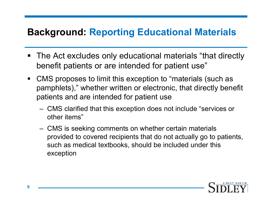# **Background: Reporting Educational Materials**

- $\blacksquare$  The Act excludes only educational materials "that directly benefit patients or are intended for patient use"
- $\blacksquare$  CMS proposes to limit this exception to "materials (such as pamphlets)," whether written or electronic, that directly benefit patients and are intended for patient use
	- CMS clarified that this exception does not include "services or other items"
	- CMS is seeking comments on whether certain materials provided to covered recipients that do not actually go to patients, such as medical textbooks, should be included under this exception

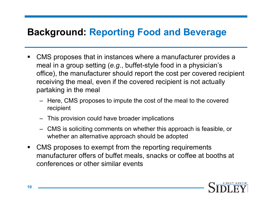# **Background: Reporting Food and Beverage**

- CMS proposes that in instances where a manufacturer provides a meal in a group setting (e.g., buffet-style food in a physician's office), the manufacturer should report the cost per covered recipient receiving the meal, even if the covered recipient is not actually partaking in the meal
	- Here, CMS proposes to impute the cost of the meal to the covered recipient
	- This provision could have broader implications
	- CMS is soliciting comments on whether this approach is feasible, or whether an alternative approach should be adopted
- $\blacksquare$  CMS proposes to exempt from the reporting requirements manufacturer offers of buffet meals, snacks or coffee at booths at conferences or other similar events

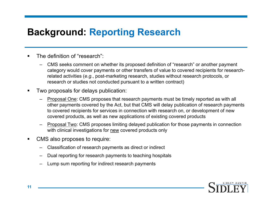# **Background: Reporting Research**

- The definition of "research":
	- CMS seeks comment on whether its proposed definition of "research" or another payment category would cover payments or other transfers of value to covered recipients for researchrelated activities (*e.g*., post-marketing research, studies without research protocols, or research or studies not conducted pursuant to a written contract)
- П Two proposals for delays publication:
	- Proposal One: CMS proposes that research payments must be timely reported as with all other payments covered by the Act, but that CMS will delay publication of research payments to covered recipients for services in connection with research on, or development of new covered products, as well as new applications of existing covered products
	- – Proposal Two: CMS proposes limiting delayed publication for those payments in connection with clinical investigations for new covered products only
- $\blacksquare$  CMS also proposes to require:
	- –Classification of research payments as direct or indirect
	- –Dual reporting for research payments to teaching hospitals
	- Lump sum reporting for indirect research payments

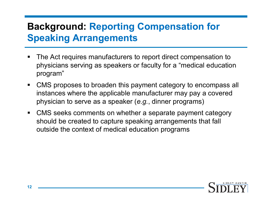# **Background: Reporting Compensation for Speaking Arrangements**

- The Act requires manufacturers to report direct compensation to physicians serving as speakers or faculty for a "medical education program"
- $\blacksquare$  CMS proposes to broaden this payment category to encompass all instances where the applicable manufacturer may pay a covered physician to serve as a speaker (*e.g.*, dinner programs)
- $\blacksquare$  CMS seeks comments on whether a separate payment category should be created to capture speaking arrangements that fall outside the context of medical education programs

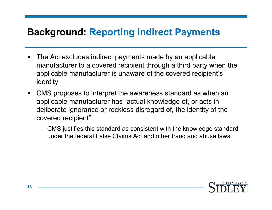# **Background: Reporting Indirect Payments**

- $\blacksquare$  The Act excludes indirect payments made by an applicable manufacturer to <sup>a</sup> covered recipient through <sup>a</sup> third party when the applicable manufacturer is unaware of the covered recipient's identity
- $\blacksquare$ • CMS proposes to interpret the awareness standard as when an applicable manufacturer has "actual knowledge of, or acts in deliberate ignorance or reckless disregard of, the identity of the covered recipient"
	- CMS justifies this standard as consistent with the knowledge standard under the federal False Claims Act and other fraud and abuse laws

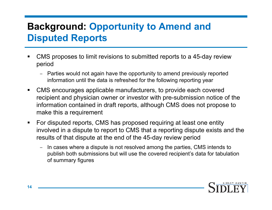# **Background: Opportunity to Amend and Disputed Reports**

- CMS proposes to limit revisions to submitted reports to a 45-day review period
	- Parties would not again have the opportunity to amend previously reported information until the data is refreshed for the following reporting year
- $\blacksquare$ CMS encourages applicable manufacturers, to provide each covered recipient and physician owner or investor with pre-submission notice of the information contained in draft reports, although CMS does not propose to make this a requirement
- $\blacksquare$  For disputed reports, CMS has proposed requiring at least one entity involved in a dispute to report to CMS that a reporting dispute exists and the results of that dispute at the end of the 45-day review period
	- In cases where a dispute is not resolved among the parties, CMS intends to publish both submissions but will use the covered recipient's data for tabulation of summary figures

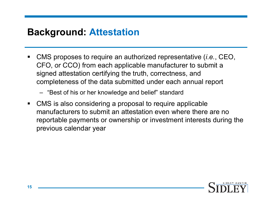# **Background: Attestation**

- CMS proposes to require an authorized representative (*i.e.*, CEO, CFO, or CCO) from each applicable manufacturer to submit a signed attestation certifying the truth, correctness, and completeness of the data submitted under each annual report
	- "Best of his or her knowledge and belief" standard
- $\blacksquare$  CMS is also considering a proposal to require applicable manufacturers to submit an attestation even where there are no reportable payments or ownership or investment interests during the previous calendar year

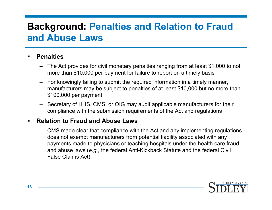# **Background: Penalties and Relation to Fraud and Abuse Laws**

#### ■ **Penalties**

- The Act provides for civil monetary penalties ranging from at least \$1,000 to not more than \$10,000 per payment for failure to report on a timely basis
- For knowingly failing to submit the required information in a timely manner, manufacturers may be subject to penalties of at least \$10,000 but no more than \$100,000 per payment
- Secretary of HHS, CMS, or OIG may audit applicable manufacturers for their compliance with the submission requirements of the Act and regulations

#### $\blacksquare$ **Relation to Fraud and Abuse Laws**

– CMS made clear that compliance with the Act and any implementing regulations does not exempt manufacturers from potential liability associated with any payments made to physicians or teaching hospitals under the health care fraud and abuse laws (*e.g.*, the federal Anti-Kickback Statute and the federal Civil False Claims Act)

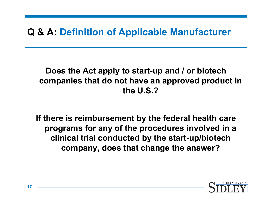# **Q & A: Definition of Applicable Manufacturer**

#### **Does the Act apply to start-up and / or biotech companies that do not have an approved product in the U S ? U.S.?**

**If there is reimbursement by the federal health care reimbursement federal programs for any of the procedures involved in a clinical trial conducted by the start-up/biotech company, does that change the answer?**

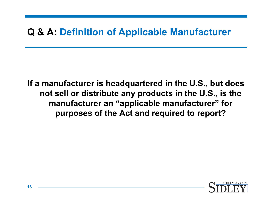# **Q & A: Definition of Applicable Manufacturer**

**If a manufacturer is headquartered in the U.S., but does**  not sell or distribute any products in the U.S., is the **manufacturer an "applicable manufacturer" for purposes of the Act and required to report?** 

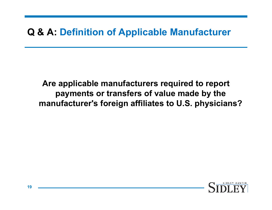# **Q & A: Definition of Applicable Manufacturer**

**Are applicable manufacturers required to report payment t f f l d b th ts or transfers of value made by the manufacturer's foreign affiliates to U.S. physicians?** 

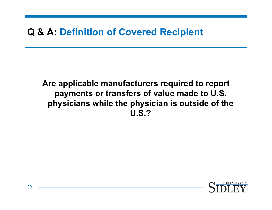# **Q & A: Definition of Covered Recipient**

#### **Are applicable manufacturers required to report payment t f f l d t US ts or transfers of value made to U.S. physicians while the physician is outside of the U.S.?**

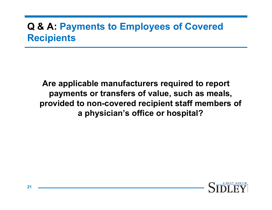# **Q & A: Payments to Employees of Covered Recipients**

**Are applicable manufacturers required to report payment t f fl h l ts or transfers of value, such as meals, provided to non-covered recipient staff members of a physician's office or hospital?**

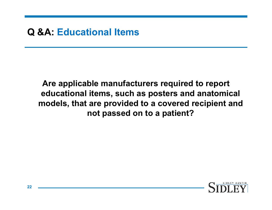#### **Q &A: Educational Items**

#### **Are applicable manufacturers required to report ed ti l it h t d t i l ducational items, such as posters and anatomical models, that are provided to a covered recipient and not passed on to a patient?**

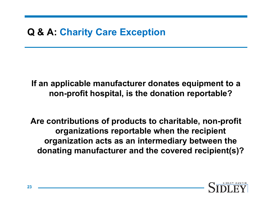# **Q & A: Charity Care Exception**

**If an applicable manufacturer donates equipment to a**  non-profit hospital, is the donation reportable?

**A ib i f d h i bl Are contributions of products to charitable, non-profit organizations reportable when the recipient org y anization acts as an intermediary between the donating manufacturer and the covered recipient(s)?**

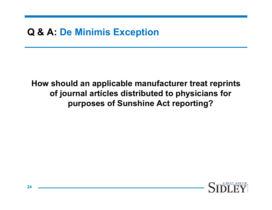# **Q & A: De Minimis Exception**

**How should an applicable manufacturer treat reprints**  of journal articles distributed to physicians for **purposes of Sunshine Act reporting?**

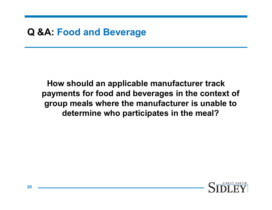#### **Q &A: Food and Beverage**

**How should an applicable manufacturer track**  payments for food and beverages in the context of **group meals where the manufacturer is unable to determine who participates in the meal?**

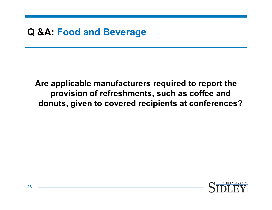#### **Q &A: Food and Beverage**

**Are applicable manufacturers required to report the provi i f f h t h ff d ision of refreshments, such as coffee and donuts, given to covered recipients at conferences?**

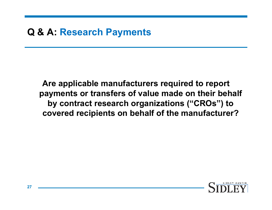# **Q & A: Research Payments**

**Are applicable manufacturers required to report**  payments or transfers of value made on their behalf **by contract research organizations ("CROs") to covered recipients on behalf of the manufacturer?** 

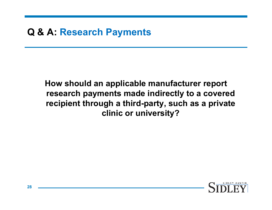# **Q & A: Research Payments**

#### **How should an applicable manufacturer report research t d i di tl t d h payments made indirectly to a covered recipient through a third-party, such as a private clinic or university?**

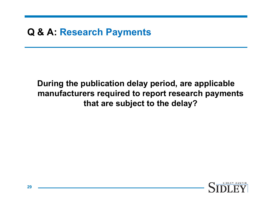# **Q & A: Research Payments**

#### **During the publication delay period, are applicable manuf t i dt t h t facturers required to report research payments that are subject to the delay?**

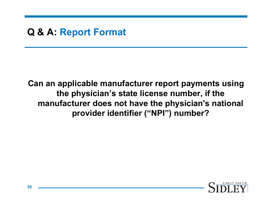# **Q & A: Report Format**

**Can an applicable manufacturer report payments using**  the physician's state license number, if the **manufacturer does not have the physician's national provider identifier ("NPI") number?**

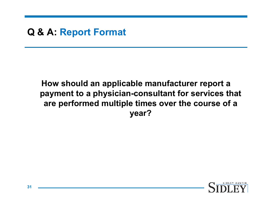# **Q & A: Report Format**

#### **How should an applicable manufacturer report a payment** to a physician-consultant for services that **are performed multiple times over the course of a year?**

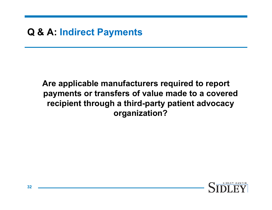# **Q & A: Indirect Payments**

#### **Are applicable manufacturers required to report payment t f f l dt d ts or transfers of value made to a covered recipient through a third-party patient advocacy organization?**

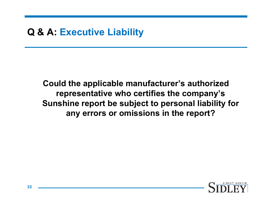# **Q & A: Executive Liability**

**Could the applicable manufacturer's authorized represent ti h tifi th ' tative who certifies the company's Sunshine report be subject to personal liability for any errors or omissions in the report?**